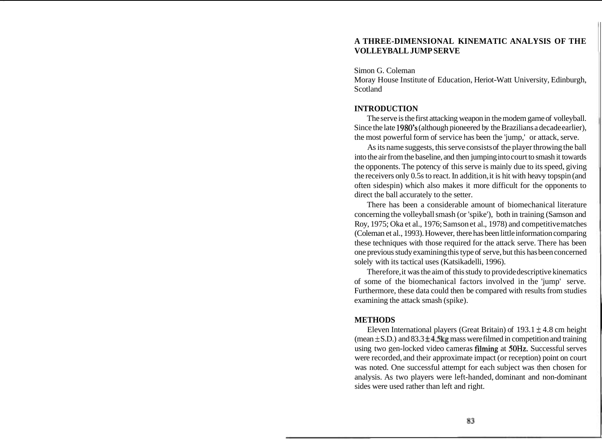# **A THREE-DIMENSIONAL KINEMATIC ANALYSIS OF THE VOLLEYBALL JUMP SERVE**

Simon G. Coleman

Moray House Institute of Education, Heriot-Watt University, Edinburgh, Scotland

# **INTRODUCTION**

The serve is the first attacking weapon in the modem game of volleyball. Since the late 1980's (although pioneered by the Brazilians a decade earlier), the most powerful form of service has been the 'jump,' or attack, serve.

As its name suggests, this serve consists of the player throwing the ball into the air from the baseline, and then jumping into court to smash it towards the opponents. The potency of this serve is mainly due to its speed, giving the receivers only 0.5s to react. In addition, it is hit with heavy topspin (and often sidespin) which also makes it more difficult for the opponents to direct the ball accurately to the setter.

There has been a considerable amount of biomechanical literature concerning the volleyball smash (or 'spike'), both in training (Samson and Roy, 1975; Oka et al., 1976; Samson et al., 1978) and competitive matches (Coleman et al., 1993). However, there has been little information comparing these techniques with those required for the attack serve. There has been one previous study examining this type of serve, but this has been concerned solely with its tactical uses (Katsikadelli, 1996).

Therefore, it was the aim of this study to provide descriptive kinematics of some of the biomechanical factors involved in the 'jump' serve. Furthermore, these data could then be compared with results from studies examining the attack smash (spike).

## **METHODS**

Eleven International players (Great Britain) of  $193.1 \pm 4.8$  cm height (mean  $\pm$  S.D.) and 83.3  $\pm$ 4.5kg mass were filmed in competition and training using two gen-locked video cameras filming at 50Hz. Successful serves were recorded, and their approximate impact (or reception) point on court was noted. One successful attempt for each subject was then chosen for analysis. As two players were left-handed, dominant and non-dominant sides were used rather than left and right.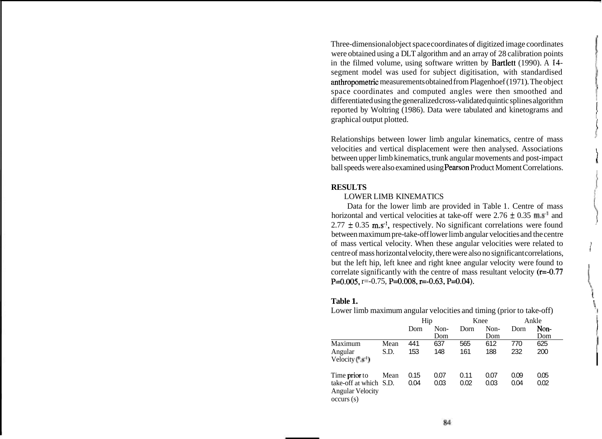Three-dimensional object space coordinates of digitized image coordinates were obtained using a DLT algorithm and an array of 28 calibration points in the filmed volume, using software written by Bartlett (1990). A **14**  segment model was used for subject digitisation, with standardised anthropometric measurements obtained from Plagenhoef (197 1). The object space coordinates and computed angles were then smoothed and differentiated using the generalized cross-validated quintic splines algorithm <sup>1</sup> reported by Woltring (1986). Data were tabulated and kinetograms and graphical output plotted.

Relationships between lower limb angular kinematics, centre of mass velocities and vertical displacement were then analysed. Associations between upper limb kinematics, trunk angular movements and post-impact ball speeds were also examined using Pearson Product Moment Correlations.

## **RESULTS**

## LOWER LIMB KINEMATICS

Data for the lower limb are provided in Table 1. Centre of mass horizontal and vertical velocities at take-off were  $2.76 \pm 0.35$  m.s<sup>-1</sup> and  $2.77 \pm 0.35$  m.s<sup>-1</sup>, respectively. No significant correlations were found between maximum pre-take-off lower limb angular velocities and the centre of mass vertical velocity. When these angular velocities were related to <sup>i</sup> centre of mass horizontal velocity, there were also no significant correlations, but the left hip, left knee and right knee angular velocity were found to correlate significantly with the centre of mass resultant velocity (r=-0.77 P=0.005, r=-0.75, P=0.008, r=-0.63, P=0.04).

**Table 1.** <sup>1</sup> Lower limb maximum angular velocities and timing (prior to take-off)

|                                                                                 |      | Hip          |              | Knee         |              | Ankle        |              |
|---------------------------------------------------------------------------------|------|--------------|--------------|--------------|--------------|--------------|--------------|
|                                                                                 |      | Dorn         | Non-<br>Dom  | Dorn         | Non-<br>Dom  | Dorn         | Non-<br>Dom  |
| Maximum                                                                         | Mean | 441          | 637          | 565          | 612          | 770          | 625          |
| Angular<br>Velocity $(*^1)$                                                     | S.D. | 153          | 148          | 161          | 188          | 232          | 200          |
| Time prior to<br>take-off at which S.D.<br><b>Angular Velocity</b><br>occurs(s) | Mean | 0.15<br>0.04 | 0.07<br>0.03 | 0.11<br>0.02 | 0.07<br>0.03 | 0.09<br>0.04 | 0.05<br>0.02 |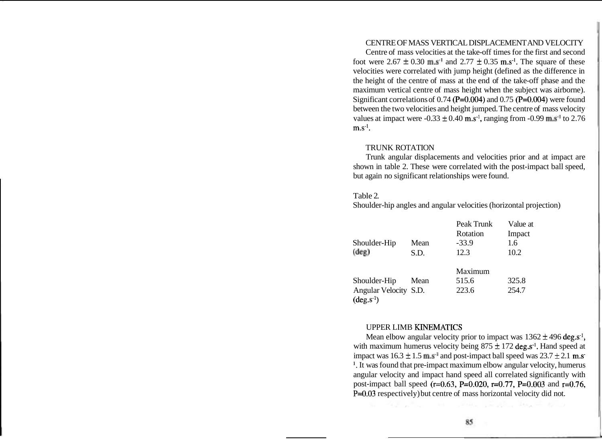# CENTRE OF MASS VERTICAL DISPLACEMENT AND VELOCITY

Centre of mass velocities at the take-off times for the first and second foot were  $2.67 \pm 0.30$  m.s<sup>-1</sup> and  $2.77 \pm 0.35$  m.s<sup>-1</sup>. The square of these velocities were correlated with jump height (defined as the difference in the height of the centre of mass at the end of the take-off phase and the maximum vertical centre of mass height when the subject was airborne). Significant correlations of  $0.74$  (P=0.004) and  $0.75$  (P=0.004) were found between the two velocities and height jumped. The centre of mass velocity values at impact were  $-0.33 \pm 0.40$  m.s<sup>-1</sup>, ranging from  $-0.99$  m.s<sup>-1</sup> to 2.76  $m.s^{-1}$ .

#### TRUNK ROTATION

Trunk angular displacements and velocities prior and at impact are shown in table 2. These were correlated with the post-impact ball speed, but again no significant relationships were found.

#### Table 2.

Shoulder-hip angles and angular velocities (horizontal projection)

|                                                |      | Peak Trunk | Value at |
|------------------------------------------------|------|------------|----------|
|                                                |      | Rotation   | Impact   |
| Shoulder-Hip                                   | Mean | $-33.9$    | 1.6      |
| $(\text{deg})$                                 | S.D. | 12.3       | 10.2     |
|                                                |      | Maximum    |          |
| Shoulder-Hip                                   | Mean | 515.6      | 325.8    |
| Angular Velocity S.D.<br>$(\text{deg}.s^{-1})$ |      | 223.6      | 254.7    |

## UPPER LIMB KTNEMATICS

Mean elbow angular velocity prior to impact was  $1362 \pm 496$  deg.s<sup>-1</sup>, with maximum humerus velocity being  $875 \pm 172$  deg.s<sup>-1</sup>. Hand speed at impact was  $16.3 \pm 1.5$  m.s<sup>-1</sup> and post-impact ball speed was  $23.7 \pm 2.1$  m.s-'. It was found that pre-impact maximum elbow angular velocity, humerus angular velocity and impact hand speed all correlated significantly with post-impact ball speed (r=0.63, P=0.020, r=0.77, P=0.003 and r=0.76, P=0.03 respectively) but centre of mass horizontal velocity did not.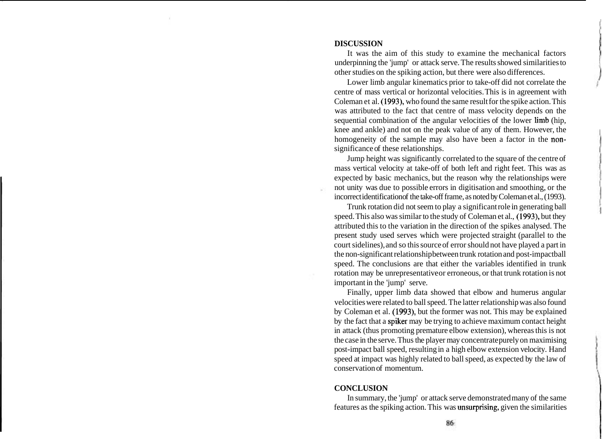#### **DISCUSSION**

It was the aim of this study to examine the mechanical factors underpinning the 'jump' or attack serve. The results showed similarities to other studies on the spiking action, but there were also differences.

Lower limb angular kinematics prior to take-off did not correlate the centre of mass vertical or horizontal velocities. This is in agreement with Coleman et al. (1993), who found the same result for the spike action. This was attributed to the fact that centre of mass velocity depends on the sequential combination of the angular velocities of the lower limb (hip, knee and ankle) and not on the peak value of any of them. However, the homogeneity of the sample may also have been a factor in the nonsignificance of these relationships.

Jump height was significantly correlated to the square of the centre of mass vertical velocity at take-off of both left and right feet. This was as expected by basic mechanics, but the reason why the relationships were not unity was due to possible errors in digitisation and smoothing, or the incorrect identification of the take-off frame, as noted by Coleman et al., (1993).

Trunk rotation did not seem to play a significant role in generating ball speed. This also was similar to the study of Coleman et al., (1993), but they attributed this to the variation in the direction of the spikes analysed. The present study used serves which were projected straight (parallel to the court sidelines), and so this source of error should not have played a part in the non-significant relationship between trunk rotation and post-impactball speed. The conclusions are that either the variables identified in trunk rotation may be unrepresentative or erroneous, or that trunk rotation is not important in the 'jump' serve.

Finally, upper limb data showed that elbow and humerus angular velocities were related to ball speed. The latter relationship was also found by Coleman et al. (1993), but the former was not. This may be explained by the fact that a spiker may be trying to achieve maximum contact height in attack (thus promoting premature elbow extension), whereas this is not the case in the serve. Thus the player may concentrate purely on maximising post-impact ball speed, resulting in a high elbow extension velocity. Hand speed at impact was highly related to ball speed, as expected by the law of conservation of momentum.

### **CONCLUSION**

In summary, the 'jump' or attack serve demonstrated many of the same features as the spiking action. This was unsurprising, given the similarities